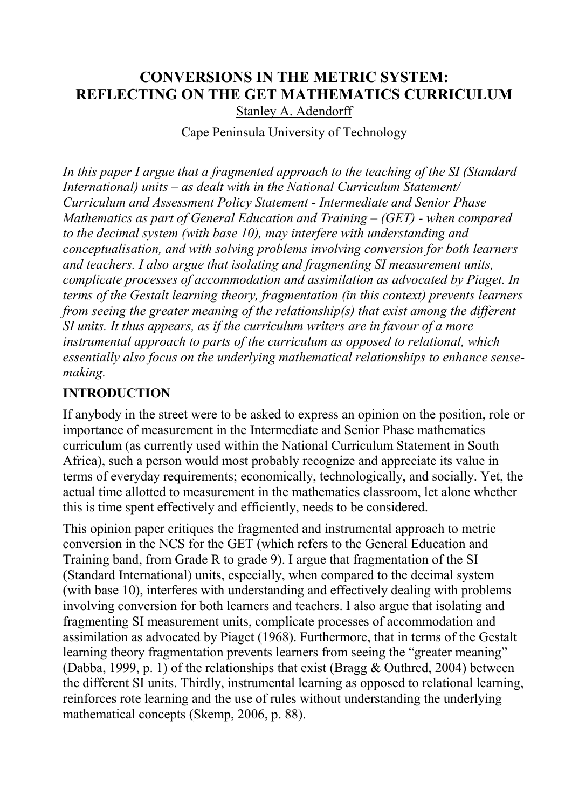#### **CONVERSIONS IN THE METRIC SYSTEM: REFLECTING ON THE GET MATHEMATICS CURRICULUM** Stanley A. Adendorff

Cape Peninsula University of Technology

*In this paper I argue that a fragmented approach to the teaching of the SI (Standard International) units – as dealt with in the National Curriculum Statement/ Curriculum and Assessment Policy Statement - Intermediate and Senior Phase Mathematics as part of General Education and Training – (GET) - when compared to the decimal system (with base 10), may interfere with understanding and conceptualisation, and with solving problems involving conversion for both learners and teachers. I also argue that isolating and fragmenting SI measurement units, complicate processes of accommodation and assimilation as advocated by Piaget. In terms of the Gestalt learning theory, fragmentation (in this context) prevents learners from seeing the greater meaning of the relationship(s) that exist among the different SI units. It thus appears, as if the curriculum writers are in favour of a more instrumental approach to parts of the curriculum as opposed to relational, which essentially also focus on the underlying mathematical relationships to enhance sensemaking.*

## **INTRODUCTION**

If anybody in the street were to be asked to express an opinion on the position, role or importance of measurement in the Intermediate and Senior Phase mathematics curriculum (as currently used within the National Curriculum Statement in South Africa), such a person would most probably recognize and appreciate its value in terms of everyday requirements; economically, technologically, and socially. Yet, the actual time allotted to measurement in the mathematics classroom, let alone whether this is time spent effectively and efficiently, needs to be considered.

This opinion paper critiques the fragmented and instrumental approach to metric conversion in the NCS for the GET (which refers to the General Education and Training band, from Grade R to grade 9). I argue that fragmentation of the SI (Standard International) units, especially, when compared to the decimal system (with base 10), interferes with understanding and effectively dealing with problems involving conversion for both learners and teachers. I also argue that isolating and fragmenting SI measurement units, complicate processes of accommodation and assimilation as advocated by Piaget (1968). Furthermore, that in terms of the Gestalt learning theory fragmentation prevents learners from seeing the "greater meaning" (Dabba, 1999, p. 1) of the relationships that exist (Bragg & Outhred, 2004) between the different SI units. Thirdly, instrumental learning as opposed to relational learning, reinforces rote learning and the use of rules without understanding the underlying mathematical concepts (Skemp, 2006, p. 88).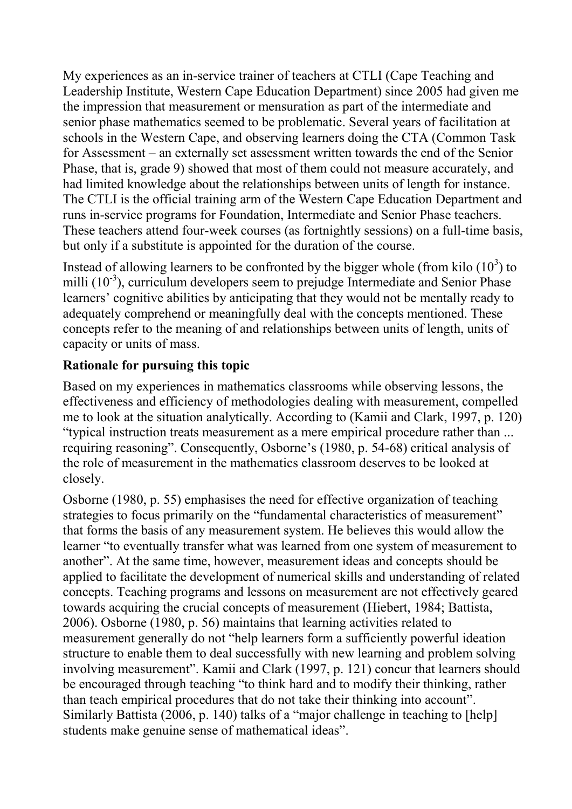My experiences as an in-service trainer of teachers at CTLI (Cape Teaching and Leadership Institute, Western Cape Education Department) since 2005 had given me the impression that measurement or mensuration as part of the intermediate and senior phase mathematics seemed to be problematic. Several years of facilitation at schools in the Western Cape, and observing learners doing the CTA (Common Task for Assessment – an externally set assessment written towards the end of the Senior Phase, that is, grade 9) showed that most of them could not measure accurately, and had limited knowledge about the relationships between units of length for instance. The CTLI is the official training arm of the Western Cape Education Department and runs in-service programs for Foundation, Intermediate and Senior Phase teachers. These teachers attend four-week courses (as fortnightly sessions) on a full-time basis, but only if a substitute is appointed for the duration of the course.

Instead of allowing learners to be confronted by the bigger whole (from kilo  $(10^3)$  to milli (10<sup>-3</sup>), curriculum developers seem to prejudge Intermediate and Senior Phase learners' cognitive abilities by anticipating that they would not be mentally ready to adequately comprehend or meaningfully deal with the concepts mentioned. These concepts refer to the meaning of and relationships between units of length, units of capacity or units of mass.

### **Rationale for pursuing this topic**

Based on my experiences in mathematics classrooms while observing lessons, the effectiveness and efficiency of methodologies dealing with measurement, compelled me to look at the situation analytically. According to (Kamii and Clark, 1997, p. 120) "typical instruction treats measurement as a mere empirical procedure rather than ... requiring reasoning". Consequently, Osborne's (1980, p. 54-68) critical analysis of the role of measurement in the mathematics classroom deserves to be looked at closely.

Osborne (1980, p. 55) emphasises the need for effective organization of teaching strategies to focus primarily on the "fundamental characteristics of measurement" that forms the basis of any measurement system. He believes this would allow the learner "to eventually transfer what was learned from one system of measurement to another". At the same time, however, measurement ideas and concepts should be applied to facilitate the development of numerical skills and understanding of related concepts. Teaching programs and lessons on measurement are not effectively geared towards acquiring the crucial concepts of measurement (Hiebert, 1984; Battista, 2006). Osborne (1980, p. 56) maintains that learning activities related to measurement generally do not "help learners form a sufficiently powerful ideation structure to enable them to deal successfully with new learning and problem solving involving measurement". Kamii and Clark (1997, p. 121) concur that learners should be encouraged through teaching "to think hard and to modify their thinking, rather than teach empirical procedures that do not take their thinking into account". Similarly Battista (2006, p. 140) talks of a "major challenge in teaching to [help] students make genuine sense of mathematical ideas".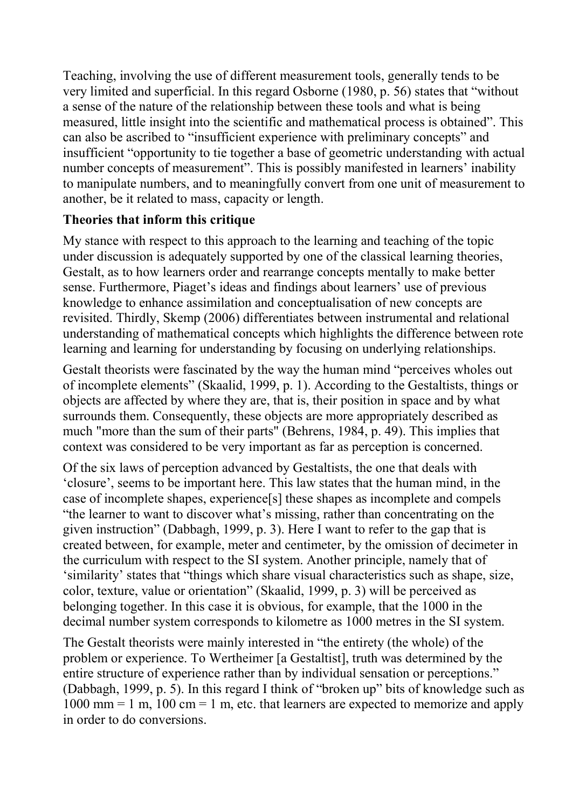Teaching, involving the use of different measurement tools, generally tends to be very limited and superficial. In this regard Osborne (1980, p. 56) states that "without a sense of the nature of the relationship between these tools and what is being measured, little insight into the scientific and mathematical process is obtained". This can also be ascribed to "insufficient experience with preliminary concepts" and insufficient "opportunity to tie together a base of geometric understanding with actual number concepts of measurement". This is possibly manifested in learners' inability to manipulate numbers, and to meaningfully convert from one unit of measurement to another, be it related to mass, capacity or length.

### **Theories that inform this critique**

My stance with respect to this approach to the learning and teaching of the topic under discussion is adequately supported by one of the classical learning theories, Gestalt, as to how learners order and rearrange concepts mentally to make better sense. Furthermore, Piaget's ideas and findings about learners' use of previous knowledge to enhance assimilation and conceptualisation of new concepts are revisited. Thirdly, Skemp (2006) differentiates between instrumental and relational understanding of mathematical concepts which highlights the difference between rote learning and learning for understanding by focusing on underlying relationships.

Gestalt theorists were fascinated by the way the human mind "perceives wholes out of incomplete elements" (Skaalid, 1999, p. 1). According to the Gestaltists, things or objects are affected by where they are, that is, their position in space and by what surrounds them. Consequently, these objects are more appropriately described as much "more than the sum of their parts" (Behrens, 1984, p. 49). This implies that context was considered to be very important as far as perception is concerned.

Of the six laws of perception advanced by Gestaltists, the one that deals with 'closure', seems to be important here. This law states that the human mind, in the case of incomplete shapes, experience[s] these shapes as incomplete and compels "the learner to want to discover what's missing, rather than concentrating on the given instruction" (Dabbagh, 1999, p. 3). Here I want to refer to the gap that is created between, for example, meter and centimeter, by the omission of decimeter in the curriculum with respect to the SI system. Another principle, namely that of 'similarity' states that "things which share visual characteristics such as shape, size, color, texture, value or orientation" (Skaalid, 1999, p. 3) will be perceived as belonging together. In this case it is obvious, for example, that the 1000 in the decimal number system corresponds to kilometre as 1000 metres in the SI system.

The Gestalt theorists were mainly interested in "the entirety (the whole) of the problem or experience. To Wertheimer [a Gestaltist], truth was determined by the entire structure of experience rather than by individual sensation or perceptions." (Dabbagh, 1999, p. 5). In this regard I think of "broken up" bits of knowledge such as  $1000 \text{ mm} = 1 \text{ m}$ ,  $100 \text{ cm} = 1 \text{ m}$ , etc. that learners are expected to memorize and apply in order to do conversions.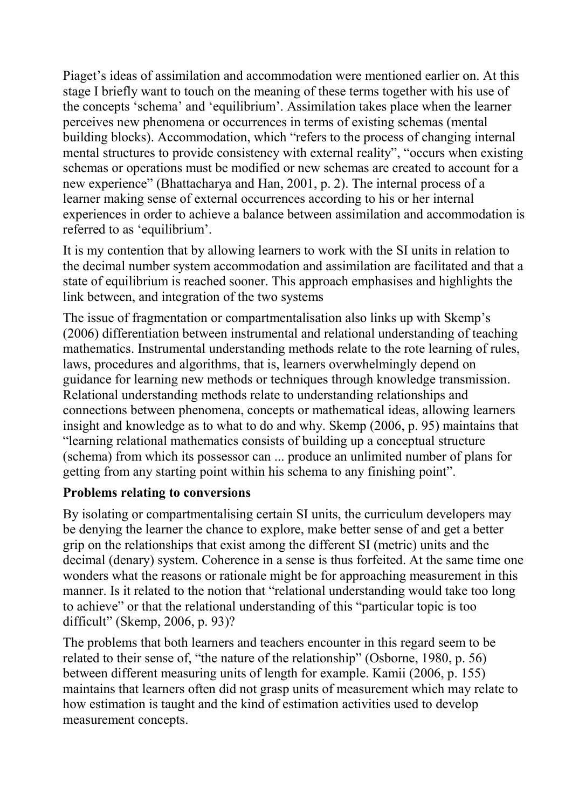Piaget's ideas of assimilation and accommodation were mentioned earlier on. At this stage I briefly want to touch on the meaning of these terms together with his use of the concepts 'schema' and 'equilibrium'. Assimilation takes place when the learner perceives new phenomena or occurrences in terms of existing schemas (mental building blocks). Accommodation, which "refers to the process of changing internal mental structures to provide consistency with external reality", "occurs when existing schemas or operations must be modified or new schemas are created to account for a new experience" (Bhattacharya and Han, 2001, p. 2). The internal process of a learner making sense of external occurrences according to his or her internal experiences in order to achieve a balance between assimilation and accommodation is referred to as 'equilibrium'.

It is my contention that by allowing learners to work with the SI units in relation to the decimal number system accommodation and assimilation are facilitated and that a state of equilibrium is reached sooner. This approach emphasises and highlights the link between, and integration of the two systems

The issue of fragmentation or compartmentalisation also links up with Skemp's (2006) differentiation between instrumental and relational understanding of teaching mathematics. Instrumental understanding methods relate to the rote learning of rules, laws, procedures and algorithms, that is, learners overwhelmingly depend on guidance for learning new methods or techniques through knowledge transmission. Relational understanding methods relate to understanding relationships and connections between phenomena, concepts or mathematical ideas, allowing learners insight and knowledge as to what to do and why. Skemp (2006, p. 95) maintains that "learning relational mathematics consists of building up a conceptual structure (schema) from which its possessor can ... produce an unlimited number of plans for getting from any starting point within his schema to any finishing point".

#### **Problems relating to conversions**

By isolating or compartmentalising certain SI units, the curriculum developers may be denying the learner the chance to explore, make better sense of and get a better grip on the relationships that exist among the different SI (metric) units and the decimal (denary) system. Coherence in a sense is thus forfeited. At the same time one wonders what the reasons or rationale might be for approaching measurement in this manner. Is it related to the notion that "relational understanding would take too long to achieve" or that the relational understanding of this "particular topic is too difficult" (Skemp, 2006, p. 93)?

The problems that both learners and teachers encounter in this regard seem to be related to their sense of, "the nature of the relationship" (Osborne, 1980, p. 56) between different measuring units of length for example. Kamii (2006, p. 155) maintains that learners often did not grasp units of measurement which may relate to how estimation is taught and the kind of estimation activities used to develop measurement concepts.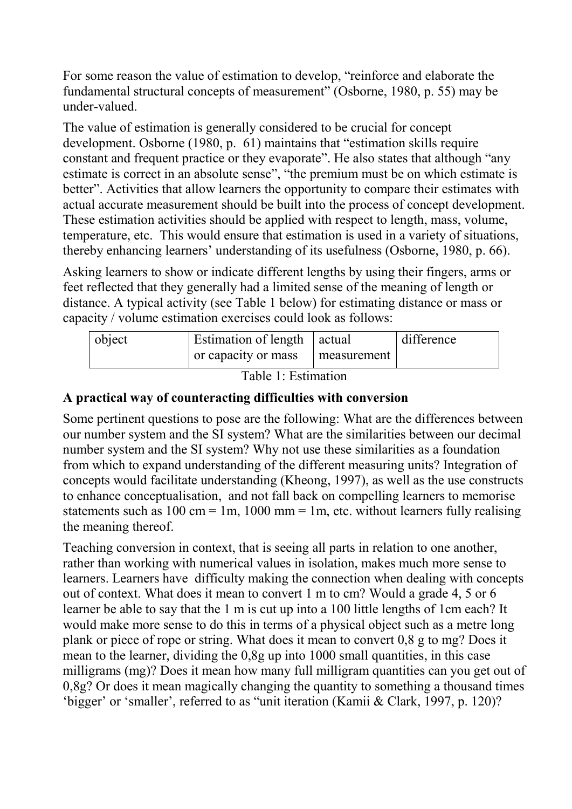For some reason the value of estimation to develop, "reinforce and elaborate the fundamental structural concepts of measurement" (Osborne, 1980, p. 55) may be under-valued.

The value of estimation is generally considered to be crucial for concept development. Osborne (1980, p. 61) maintains that "estimation skills require constant and frequent practice or they evaporate". He also states that although "any estimate is correct in an absolute sense", "the premium must be on which estimate is better". Activities that allow learners the opportunity to compare their estimates with actual accurate measurement should be built into the process of concept development. These estimation activities should be applied with respect to length, mass, volume, temperature, etc. This would ensure that estimation is used in a variety of situations, thereby enhancing learners' understanding of its usefulness (Osborne, 1980, p. 66).

Asking learners to show or indicate different lengths by using their fingers, arms or feet reflected that they generally had a limited sense of the meaning of length or distance. A typical activity (see Table 1 below) for estimating distance or mass or capacity / volume estimation exercises could look as follows:

| object | Estimation of length   actual |             | difference |
|--------|-------------------------------|-------------|------------|
|        | or capacity or mass           | measurement |            |

Table 1: Estimation

#### **A practical way of counteracting difficulties with conversion**

Some pertinent questions to pose are the following: What are the differences between our number system and the SI system? What are the similarities between our decimal number system and the SI system? Why not use these similarities as a foundation from which to expand understanding of the different measuring units? Integration of concepts would facilitate understanding (Kheong, 1997), as well as the use constructs to enhance conceptualisation, and not fall back on compelling learners to memorise statements such as  $100 \text{ cm} = 1 \text{m}$ ,  $1000 \text{ mm} = 1 \text{m}$ , etc. without learners fully realising the meaning thereof.

Teaching conversion in context, that is seeing all parts in relation to one another, rather than working with numerical values in isolation, makes much more sense to learners. Learners have difficulty making the connection when dealing with concepts out of context. What does it mean to convert 1 m to cm? Would a grade 4, 5 or 6 learner be able to say that the 1 m is cut up into a 100 little lengths of 1cm each? It would make more sense to do this in terms of a physical object such as a metre long plank or piece of rope or string. What does it mean to convert 0,8 g to mg? Does it mean to the learner, dividing the 0,8g up into 1000 small quantities, in this case milligrams (mg)? Does it mean how many full milligram quantities can you get out of 0,8g? Or does it mean magically changing the quantity to something a thousand times 'bigger' or 'smaller', referred to as "unit iteration (Kamii & Clark, 1997, p. 120)?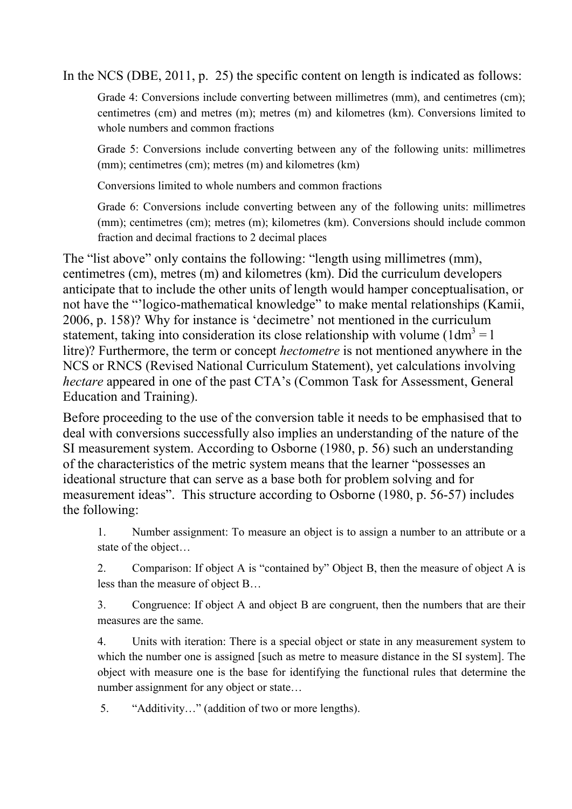In the NCS (DBE, 2011, p. 25) the specific content on length is indicated as follows:

Grade 4: Conversions include converting between millimetres (mm), and centimetres (cm); centimetres (cm) and metres (m); metres (m) and kilometres (km). Conversions limited to whole numbers and common fractions

Grade 5: Conversions include converting between any of the following units: millimetres (mm); centimetres (cm); metres (m) and kilometres (km)

Conversions limited to whole numbers and common fractions

Grade 6: Conversions include converting between any of the following units: millimetres (mm); centimetres (cm); metres (m); kilometres (km). Conversions should include common fraction and decimal fractions to 2 decimal places

The "list above" only contains the following: "length using millimetres (mm), centimetres (cm), metres (m) and kilometres (km). Did the curriculum developers anticipate that to include the other units of length would hamper conceptualisation, or not have the "'logico-mathematical knowledge" to make mental relationships (Kamii, 2006, p. 158)? Why for instance is 'decimetre' not mentioned in the curriculum statement, taking into consideration its close relationship with volume ( $1dm<sup>3</sup> = 1$ ) litre)? Furthermore, the term or concept *hectometre* is not mentioned anywhere in the NCS or RNCS (Revised National Curriculum Statement), yet calculations involving *hectare* appeared in one of the past CTA's (Common Task for Assessment, General Education and Training).

Before proceeding to the use of the conversion table it needs to be emphasised that to deal with conversions successfully also implies an understanding of the nature of the SI measurement system. According to Osborne (1980, p. 56) such an understanding of the characteristics of the metric system means that the learner "possesses an ideational structure that can serve as a base both for problem solving and for measurement ideas". This structure according to Osborne (1980, p. 56-57) includes the following:

1. Number assignment: To measure an object is to assign a number to an attribute or a state of the object…

2. Comparison: If object A is "contained by" Object B, then the measure of object A is less than the measure of object B…

3. Congruence: If object A and object B are congruent, then the numbers that are their measures are the same.

4. Units with iteration: There is a special object or state in any measurement system to which the number one is assigned [such as metre to measure distance in the SI system]. The object with measure one is the base for identifying the functional rules that determine the number assignment for any object or state…

5. "Additivity…" (addition of two or more lengths).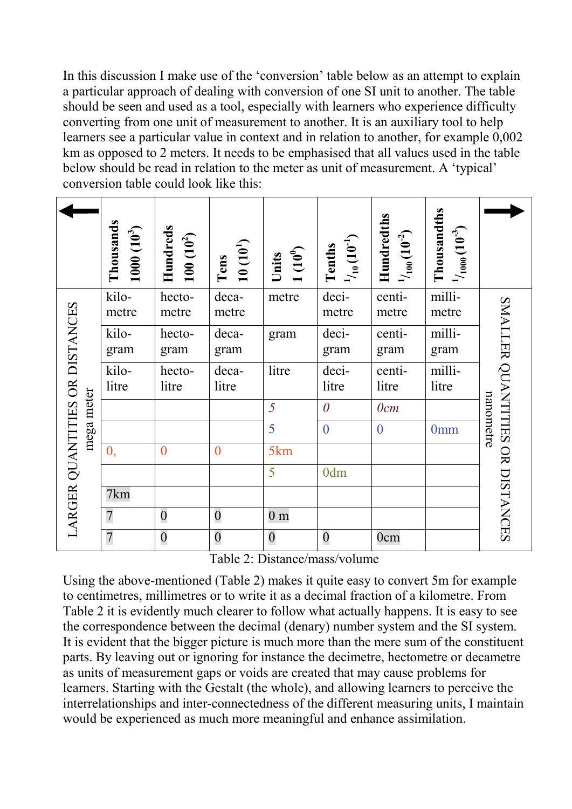In this discussion I make use of the 'conversion' table below as an attempt to explain a particular approach of dealing with conversion of one SI unit to another. The table should be seen and used as a tool, especially with learners who experience difficulty converting from one unit of measurement to another. It is an auxiliary tool to help learners see a particular value in context and in relation to another, for example 0,002 km as opposed to 2 meters. It needs to be emphasised that all values used in the table below should be read in relation to the meter as unit of measurement. A 'typical' conversion table could look like this:

|                                              | Thousands<br>$1000(10^3)$ | Hundreds<br>$100(10^2)$ | $10(10^1)$<br>Tens | 1(10 <sup>0</sup> )<br>Units | $^{1}/_{10}$ $(10^{-1})$<br>Tenths | Hundredths<br>$^{1}/_{100} (10^{-2})$ | Thousandths<br>$^{1}/_{1000}$ $(10^{-3})$ |                                              |
|----------------------------------------------|---------------------------|-------------------------|--------------------|------------------------------|------------------------------------|---------------------------------------|-------------------------------------------|----------------------------------------------|
| LARGER QUANTITIES OR DISTANCES<br>mega meter | kilo-<br>metre            | hecto-<br>metre         | deca-<br>metre     | metre                        | deci-<br>metre                     | centi-<br>metre                       | milli-<br>metre                           | SMALLER QUANTITIES OR DISTANCES<br>nanometre |
|                                              | kilo-<br>gram             | hecto-<br>gram          | deca-<br>gram      | gram                         | deci-<br>gram                      | centi-<br>gram                        | milli-<br>gram                            |                                              |
|                                              | kilo-<br>litre            | hecto-<br>litre         | deca-<br>litre     | litre                        | deci-<br>litre                     | centi-<br>litre                       | milli-<br>litre                           |                                              |
|                                              |                           |                         |                    | 5                            | $\theta$                           | 0cm                                   |                                           |                                              |
|                                              |                           |                         |                    | 5                            | $\overline{0}$                     | $\theta$                              | 0 <sub>mm</sub>                           |                                              |
|                                              | $\mathbf{0},$             | $\overline{0}$          | $\overline{0}$     | 5km                          |                                    |                                       |                                           |                                              |
|                                              |                           |                         |                    | 5                            | 0dm                                |                                       |                                           |                                              |
|                                              | 7km                       |                         |                    |                              |                                    |                                       |                                           |                                              |
|                                              | $\overline{7}$            | $\boldsymbol{0}$        | $\boldsymbol{0}$   | 0 m                          |                                    |                                       |                                           |                                              |
|                                              | $\overline{7}$            | $\boldsymbol{0}$        | $\boldsymbol{0}$   | $\boldsymbol{0}$             | $\boldsymbol{0}$                   | 0cm                                   |                                           |                                              |

Table 2: Distance/mass/volume

Using the above-mentioned (Table 2) makes it quite easy to convert 5m for example to centimetres, millimetres or to write it as a decimal fraction of a kilometre. From Table 2 it is evidently much clearer to follow what actually happens. It is easy to see the correspondence between the decimal (denary) number system and the SI system. It is evident that the bigger picture is much more than the mere sum of the constituent parts. By leaving out or ignoring for instance the decimetre, hectometre or decametre as units of measurement gaps or voids are created that may cause problems for learners. Starting with the Gestalt (the whole), and allowing learners to perceive the interrelationships and inter-connectedness of the different measuring units, I maintain would be experienced as much more meaningful and enhance assimilation.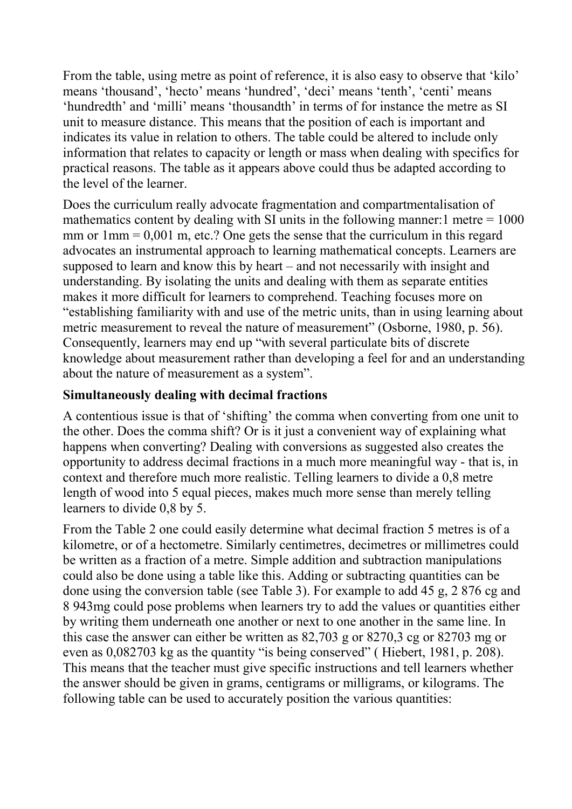From the table, using metre as point of reference, it is also easy to observe that 'kilo' means 'thousand', 'hecto' means 'hundred', 'deci' means 'tenth', 'centi' means 'hundredth' and 'milli' means 'thousandth' in terms of for instance the metre as SI unit to measure distance. This means that the position of each is important and indicates its value in relation to others. The table could be altered to include only information that relates to capacity or length or mass when dealing with specifics for practical reasons. The table as it appears above could thus be adapted according to the level of the learner.

Does the curriculum really advocate fragmentation and compartmentalisation of mathematics content by dealing with SI units in the following manner:  $1$  metre  $= 1000$ mm or  $1 \text{mm} = 0.001 \text{m}$ , etc.? One gets the sense that the curriculum in this regard advocates an instrumental approach to learning mathematical concepts. Learners are supposed to learn and know this by heart – and not necessarily with insight and understanding. By isolating the units and dealing with them as separate entities makes it more difficult for learners to comprehend. Teaching focuses more on "establishing familiarity with and use of the metric units, than in using learning about metric measurement to reveal the nature of measurement" (Osborne, 1980, p. 56). Consequently, learners may end up "with several particulate bits of discrete knowledge about measurement rather than developing a feel for and an understanding about the nature of measurement as a system".

### **Simultaneously dealing with decimal fractions**

A contentious issue is that of 'shifting' the comma when converting from one unit to the other. Does the comma shift? Or is it just a convenient way of explaining what happens when converting? Dealing with conversions as suggested also creates the opportunity to address decimal fractions in a much more meaningful way - that is, in context and therefore much more realistic. Telling learners to divide a 0,8 metre length of wood into 5 equal pieces, makes much more sense than merely telling learners to divide 0,8 by 5.

From the Table 2 one could easily determine what decimal fraction 5 metres is of a kilometre, or of a hectometre. Similarly centimetres, decimetres or millimetres could be written as a fraction of a metre. Simple addition and subtraction manipulations could also be done using a table like this. Adding or subtracting quantities can be done using the conversion table (see Table 3). For example to add 45 g, 2 876 cg and 8 943mg could pose problems when learners try to add the values or quantities either by writing them underneath one another or next to one another in the same line. In this case the answer can either be written as 82,703 g or 8270,3 cg or 82703 mg or even as 0,082703 kg as the quantity "is being conserved" ( Hiebert, 1981, p. 208). This means that the teacher must give specific instructions and tell learners whether the answer should be given in grams, centigrams or milligrams, or kilograms. The following table can be used to accurately position the various quantities: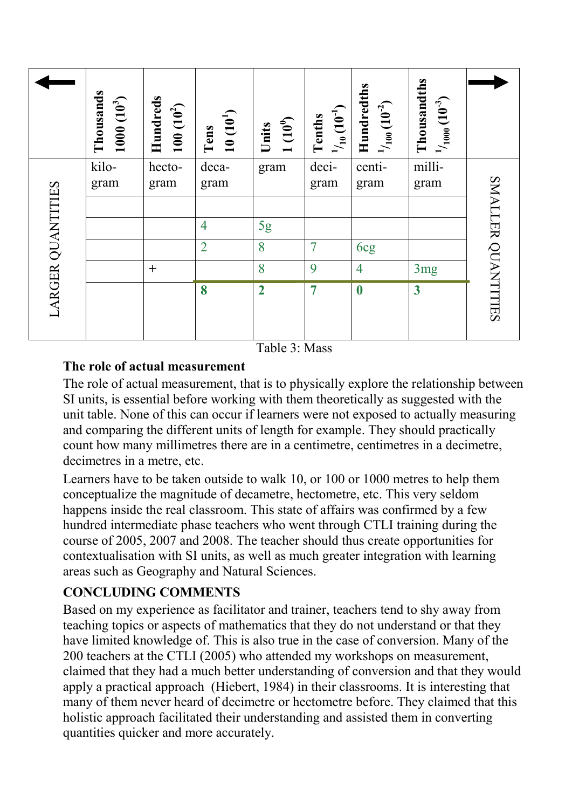|                   | Thousands<br>$1000(10^3)$ | Hundreds<br>$100(10^2)$ | $10(10^1)$<br>Tens | $1(10^{0})$<br>Units | $^{1/}_{10}(10^{-1})$<br>Tenths | Hundredths<br>$^{1}/_{100}$ $(10^{-2})$ | Thousandths<br>$^{11}_{1000}(10^{3})$ |                    |
|-------------------|---------------------------|-------------------------|--------------------|----------------------|---------------------------------|-----------------------------------------|---------------------------------------|--------------------|
| LARGER QUANTITIES | kilo-<br>gram             | hecto-<br>gram          | deca-<br>gram      | gram                 | deci-<br>gram                   | centi-<br>gram                          | milli-<br>gram                        | SMALLER QUANTITIES |
|                   |                           |                         | $\overline{4}$     |                      |                                 |                                         |                                       |                    |
|                   |                           |                         | $\overline{2}$     | 5g<br>8              | 7                               | 6cg                                     |                                       |                    |
|                   |                           | $+$                     |                    | 8                    | 9                               | $\overline{4}$                          | 3mg                                   |                    |
|                   |                           |                         | 8                  | $\overline{2}$       | $\overline{7}$                  | $\boldsymbol{0}$                        | $\overline{\mathbf{3}}$               |                    |

Table 3: Mass

## **The role of actual measurement**

The role of actual measurement, that is to physically explore the relationship between SI units, is essential before working with them theoretically as suggested with the unit table. None of this can occur if learners were not exposed to actually measuring and comparing the different units of length for example. They should practically count how many millimetres there are in a centimetre, centimetres in a decimetre, decimetres in a metre, etc.

Learners have to be taken outside to walk 10, or 100 or 1000 metres to help them conceptualize the magnitude of decametre, hectometre, etc. This very seldom happens inside the real classroom. This state of affairs was confirmed by a few hundred intermediate phase teachers who went through CTLI training during the course of 2005, 2007 and 2008. The teacher should thus create opportunities for contextualisation with SI units, as well as much greater integration with learning areas such as Geography and Natural Sciences.

# **CONCLUDING COMMENTS**

Based on my experience as facilitator and trainer, teachers tend to shy away from teaching topics or aspects of mathematics that they do not understand or that they have limited knowledge of. This is also true in the case of conversion. Many of the 200 teachers at the CTLI (2005) who attended my workshops on measurement, claimed that they had a much better understanding of conversion and that they would apply a practical approach (Hiebert, 1984) in their classrooms. It is interesting that many of them never heard of decimetre or hectometre before. They claimed that this holistic approach facilitated their understanding and assisted them in converting quantities quicker and more accurately.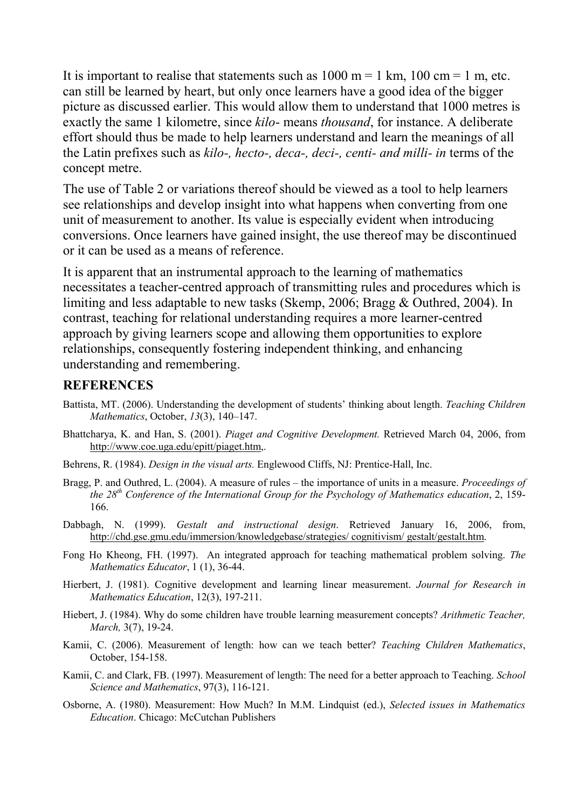It is important to realise that statements such as  $1000 \text{ m} = 1 \text{ km}$ ,  $100 \text{ cm} = 1 \text{ m}$ , etc. can still be learned by heart, but only once learners have a good idea of the bigger picture as discussed earlier. This would allow them to understand that 1000 metres is exactly the same 1 kilometre, since *kilo*- means *thousand*, for instance. A deliberate effort should thus be made to help learners understand and learn the meanings of all the Latin prefixes such as *kilo-, hecto-, deca-, deci-, centi- and milli- in* terms of the concept metre.

The use of Table 2 or variations thereof should be viewed as a tool to help learners see relationships and develop insight into what happens when converting from one unit of measurement to another. Its value is especially evident when introducing conversions. Once learners have gained insight, the use thereof may be discontinued or it can be used as a means of reference.

It is apparent that an instrumental approach to the learning of mathematics necessitates a teacher-centred approach of transmitting rules and procedures which is limiting and less adaptable to new tasks (Skemp, 2006; Bragg & Outhred, 2004). In contrast, teaching for relational understanding requires a more learner-centred approach by giving learners scope and allowing them opportunities to explore relationships, consequently fostering independent thinking, and enhancing understanding and remembering.

#### **REFERENCES**

- Battista, MT. (2006). Understanding the development of students' thinking about length. *Teaching Children Mathematics*, October, *13*(3), 140–147.
- Bhattcharya, K. and Han, S. (2001). *Piaget and Cognitive Development.* Retrieved March 04, 2006, from [http://www.coe.uga.edu/epitt/piaget.htm,](http://www.coe.uga.edu/epitt/piaget.htm).
- Behrens, R. (1984). *Design in the visual arts.* Englewood Cliffs, NJ: Prentice-Hall, Inc.
- Bragg, P. and Outhred, L. (2004). A measure of rules the importance of units in a measure. *Proceedings of the 28th Conference of the International Group for the Psychology of Mathematics education*, 2, 159- 166.
- Dabbagh, N. (1999). *Gestalt and instructional design*. Retrieved January 16, 2006, from, [http://chd.gse.gmu.edu/immersion/knowledgebase/strategies/ cognitivism/ gestalt/gestalt.htm.](http://chd.gse.gmu.edu/immersion/knowledgebase/strategies/%20cognitivism/%20gestalt/gestalt.htm)
- Fong Ho Kheong, FH. (1997). An integrated approach for teaching mathematical problem solving. *The Mathematics Educator*, 1 (1), 36-44.
- Hierbert, J. (1981). Cognitive development and learning linear measurement. *Journal for Research in Mathematics Education*, 12(3), 197-211.
- Hiebert, J. (1984). Why do some children have trouble learning measurement concepts? *Arithmetic Teacher, March,* 3(7), 19-24.
- Kamii, C. (2006). Measurement of length: how can we teach better? *Teaching Children Mathematics*, October, 154-158.
- Kamii, C. and Clark, FB. (1997). Measurement of length: The need for a better approach to Teaching. *School Science and Mathematics*, 97(3), 116-121.
- Osborne, A. (1980). Measurement: How Much? In M.M. Lindquist (ed.), *Selected issues in Mathematics Education*. Chicago: McCutchan Publishers